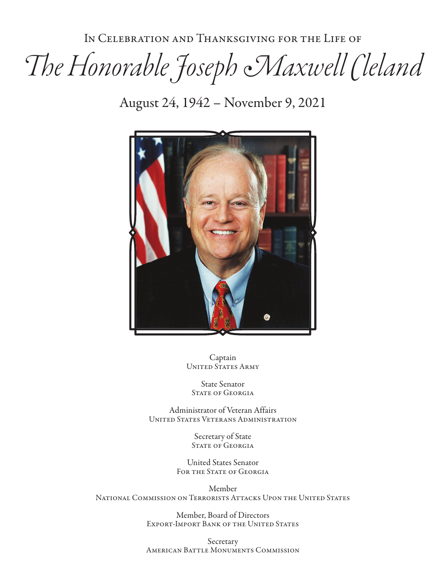In Celebration and Thanksgiving for the Life of

# *The Honorable Joseph Maxwell Cleland*

August 24, 1942 – November 9, 2021



Captain UNITED STATES ARMY

State Senator STATE OF GEORGIA

Administrator of Veteran Affairs United States Veterans Administration

> Secretary of State STATE OF GEORGIA

United States Senator FOR THE STATE OF GEORGIA

Member National Commission on Terrorists Attacks Upon the United States

> Member, Board of Directors Export-Import Bank of the United States

> Secretary American Battle Monuments Commission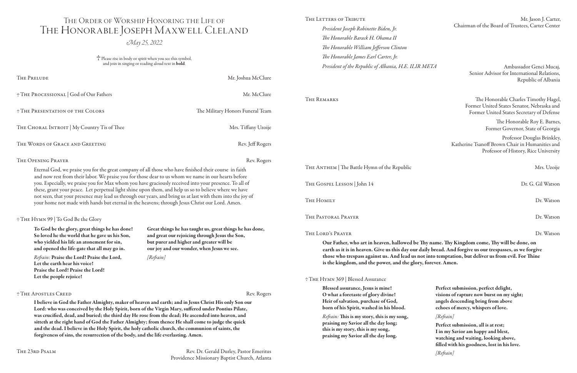THE 23RD PSALM Rev. Dr. Gerald Durley, Pastor Emeritus Providence Missionary Baptist Church, Atlanta

was crucified, dead, and buried; the third day He rose from the dead; He ascended into heaven, and sitteth at the right hand of God the Father Almighty; from thence He shall come to judge the quick and the dead. I believe in the Holy Spirit, the holy catholic church, the communion of saints, the

 Please rise in body or spirit when you see this symbol, and join in singing or reading aloud text in **bold**.

forgiveness of sins, the resurrection of the body, and the life everlasting. Amen.

*President Joseph Robinette Biden, Jr. The Honorable Barack H. Obama II The Honorable William Jefferson Clinton The Honorable James Earl Carter, Jr. President of the Republic of Albania, H.E. ILIR META* 

| THE PRELUDE                                                                                                                                                                                                                                                                                                                                                                                                                                                                                                                                                                                                                                     | Mr. Joshua McClure                                                                                         |                                                                                                                                                                                                         | Senior Advisor for International Relations,<br>Republic of Albania                                                     |
|-------------------------------------------------------------------------------------------------------------------------------------------------------------------------------------------------------------------------------------------------------------------------------------------------------------------------------------------------------------------------------------------------------------------------------------------------------------------------------------------------------------------------------------------------------------------------------------------------------------------------------------------------|------------------------------------------------------------------------------------------------------------|---------------------------------------------------------------------------------------------------------------------------------------------------------------------------------------------------------|------------------------------------------------------------------------------------------------------------------------|
| † THE PROCESSIONAL   God of Our Fathers                                                                                                                                                                                                                                                                                                                                                                                                                                                                                                                                                                                                         | Mr. McClure                                                                                                | THE REMARKS                                                                                                                                                                                             | The Honorable Charles Timothy Hagel                                                                                    |
| <b>THE PRESENTATION OF THE COLORS</b>                                                                                                                                                                                                                                                                                                                                                                                                                                                                                                                                                                                                           | The Military Honors Funeral Team                                                                           |                                                                                                                                                                                                         | Former United States Senator, Nebraska and<br>Former United States Secretary of Defense                                |
| THE CHORAL INTROIT   My Country Tis of Thee                                                                                                                                                                                                                                                                                                                                                                                                                                                                                                                                                                                                     | Mrs. Tiffany Uzoije                                                                                        |                                                                                                                                                                                                         | The Honorable Roy E. Barnes<br>Former Governor, State of Georgia                                                       |
| THE WORDS OF GRACE AND GREETING                                                                                                                                                                                                                                                                                                                                                                                                                                                                                                                                                                                                                 | Rev. Jeff Rogers                                                                                           |                                                                                                                                                                                                         | Professor Douglas Brinkley<br>Katherine Tsanoff Brown Chair in Humanities and<br>Professor of History, Rice University |
| THE OPENING PRAYER                                                                                                                                                                                                                                                                                                                                                                                                                                                                                                                                                                                                                              | Rev. Rogers                                                                                                |                                                                                                                                                                                                         |                                                                                                                        |
| Eternal God, we praise you for the great company of all those who have finished their course in faith<br>and now rest from their labor. We praise you for those dear to us whom we name in our hearts before<br>you. Especially, we praise you for Max whom you have graciously received into your presence. To all of<br>these, grant your peace. Let perpetual light shine upon them, and help us so to believe where we have<br>not seen, that your presence may lead us through our years, and bring us at last with them into the joy of<br>your home not made with hands but eternal in the heavens; through Jesus Christ our Lord. Amen. |                                                                                                            | THE ANTHEM   The Battle Hymn of the Republic                                                                                                                                                            | Mrs. Uzoije                                                                                                            |
|                                                                                                                                                                                                                                                                                                                                                                                                                                                                                                                                                                                                                                                 |                                                                                                            | THE GOSPEL LESSON   John 14                                                                                                                                                                             | Dr. G. Gil Watson                                                                                                      |
|                                                                                                                                                                                                                                                                                                                                                                                                                                                                                                                                                                                                                                                 |                                                                                                            | THE HOMILY                                                                                                                                                                                              | Dr. Watson                                                                                                             |
| † THE HYMN 99   To God Be the Glory                                                                                                                                                                                                                                                                                                                                                                                                                                                                                                                                                                                                             |                                                                                                            | THE PASTORAL PRAYER                                                                                                                                                                                     | Dr. Watson                                                                                                             |
| To God be the glory, great things he has done!<br>So loved he the world that he gave us his Son,                                                                                                                                                                                                                                                                                                                                                                                                                                                                                                                                                | Great things he has taught us, great things he has done,<br>and great our rejoicing through Jesus the Son, | THE LORD'S PRAYER                                                                                                                                                                                       | Dr. Watson                                                                                                             |
| who yielded his life an atonement for sin,<br>but purer and higher and greater will be<br>and opened the life-gate that all may go in.<br>our joy and our wonder, when Jesus we see.                                                                                                                                                                                                                                                                                                                                                                                                                                                            |                                                                                                            | Our Father, who art in heaven, hallowed be Thy name. Thy Kingdom come, Thy will be done, on<br>earth as it is in heaven. Give us this day our daily bread. And forgive us our trespasses, as we forgive |                                                                                                                        |
| Refrain: Praise the Lord! Praise the Lord,<br>Let the earth hear his voice!<br>Praise the Lord! Praise the Lord!                                                                                                                                                                                                                                                                                                                                                                                                                                                                                                                                | [Refrain]                                                                                                  | those who trespass against us. And lead us not into temptation, but deliver us from evil. For Thine<br>is the kingdom, and the power, and the glory, forever. Amen.                                     |                                                                                                                        |
| Let the people rejoice!                                                                                                                                                                                                                                                                                                                                                                                                                                                                                                                                                                                                                         |                                                                                                            | † THE HYMN 369   Blessed Assurance                                                                                                                                                                      |                                                                                                                        |
| <b>THE APOSTLES CREED</b>                                                                                                                                                                                                                                                                                                                                                                                                                                                                                                                                                                                                                       | Rev. Rogers                                                                                                | Blessed assurance, Jesus is mine!<br>O what a foretaste of glory divine!                                                                                                                                | Perfect submission, perfect delight,<br>visions of rapture now burst on my sight;                                      |
| I believe in God the Father Almighty, maker of heaven and earth; and in Jesus Christ His only Son our<br>Lord: who was conceived by the Holy Spirit, born of the Virgin Mary, suffered under Pontius Pilate,                                                                                                                                                                                                                                                                                                                                                                                                                                    |                                                                                                            | Heir of salvation, purchase of God,<br>born of his Spirit, washed in his blood.                                                                                                                         | angels descending bring from above<br>echoes of mercy, whispers of love.                                               |

#### THE LETTERS OF TRIBUTE Mr. Jason J. Carter, Chairman of the Board of Trustees, Carter Center

## The Order of Worship Honoring the Life of The Honorable Joseph Maxwell Cleland

*May 25, 2022*

*Refrain:* This is my story, this is my song, praising my Savior all the day long; this is my story, this is my song, praising my Savior all the day long.

*[Refrain]*

Perfect submission, all is at rest; I in my Savior am happy and blest, watching and waiting, looking above, filled with his goodness, lost in his love.

*[Refrain]*

 Ambassador Genci Mucaj, Senior Advisor for International Relations, Republic of Albania